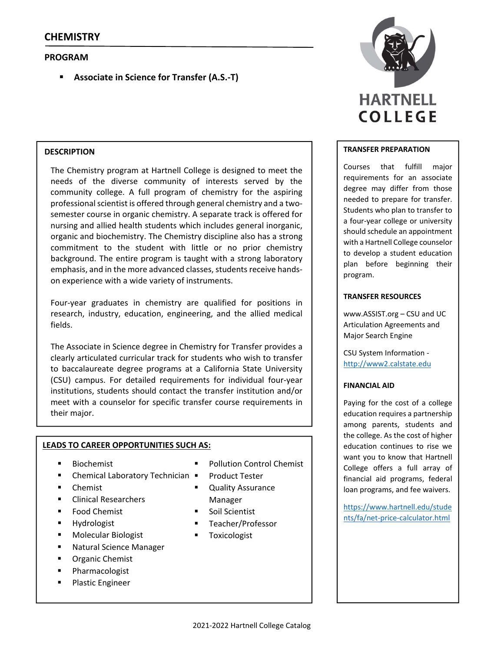# **PROGRAM**

**Associate in Science for Transfer (A.S.‐T)**

## **DESCRIPTION**

The Chemistry program at Hartnell College is designed to meet the needs of the diverse community of interests served by the community college. A full program of chemistry for the aspiring professional scientist is offered through general chemistry and a twosemester course in organic chemistry. A separate track is offered for nursing and allied health students which includes general inorganic, organic and biochemistry. The Chemistry discipline also has a strong commitment to the student with little or no prior chemistry background. The entire program is taught with a strong laboratory emphasis, and in the more advanced classes, students receive handson experience with a wide variety of instruments.

Four-year graduates in chemistry are qualified for positions in research, industry, education, engineering, and the allied medical fields.

The Associate in Science degree in Chemistry for Transfer provides a clearly articulated curricular track for students who wish to transfer to baccalaureate degree programs at a California State University (CSU) campus. For detailed requirements for individual four‐year institutions, students should contact the transfer institution and/or meet with a counselor for specific transfer course requirements in their major.

## **LEADS TO CAREER OPPORTUNITIES SUCH AS:**

- Biochemist
- Chemical Laboratory Technician
- Chemist
- Clinical Researchers
- Food Chemist
- Hydrologist
- Molecular Biologist
- Natural Science Manager
- **•** Organic Chemist
- Pharmacologist
- **Plastic Engineer**
- Pollution Control Chemist
- Product Tester
- Quality Assurance Manager
- Soil Scientist
- Teacher/Professor
- **Toxicologist**



### **TRANSFER PREPARATION**

Courses that fulfill major requirements for an associate degree may differ from those needed to prepare for transfer. Students who plan to transfer to a four‐year college or university should schedule an appointment with a Hartnell College counselor to develop a student education plan before beginning their program.

### **TRANSFER RESOURCES**

www.ASSIST.org – CSU and UC Articulation Agreements and Major Search Engine

CSU System Information ‐ http://www2.calstate.edu

## **FINANCIAL AID**

Paying for the cost of a college education requires a partnership among parents, students and the college. As the cost of higher education continues to rise we want you to know that Hartnell College offers a full array of financial aid programs, federal loan programs, and fee waivers.

https://www.hartnell.edu/stude nts/fa/net‐price‐calculator.html